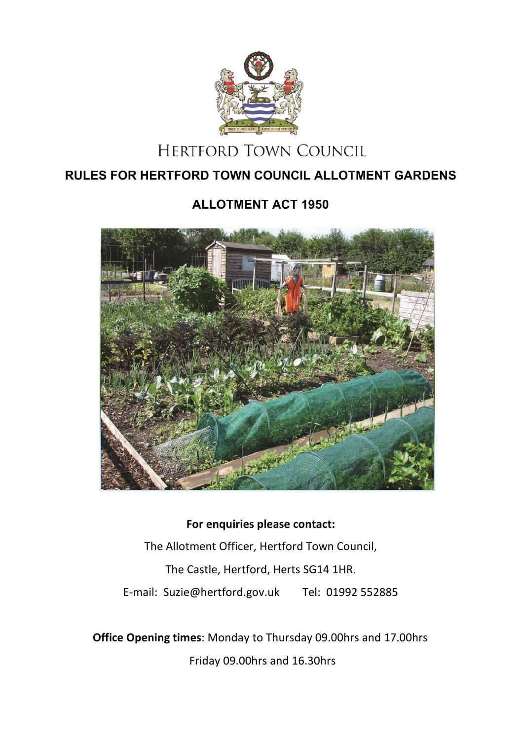

# **HERTFORD TOWN COUNCIL**

# **RULES FOR HERTFORD TOWN COUNCIL ALLOTMENT GARDENS**

# **ALLOTMENT ACT 1950**



# **For enquiries please contact:** The Allotment Officer, Hertford Town Council, The Castle, Hertford, Herts SG14 1HR. E-mail: Suzie@hertford.gov.uk Tel: 01992 552885

**Office Opening times**: Monday to Thursday 09.00hrs and 17.00hrs Friday 09.00hrs and 16.30hrs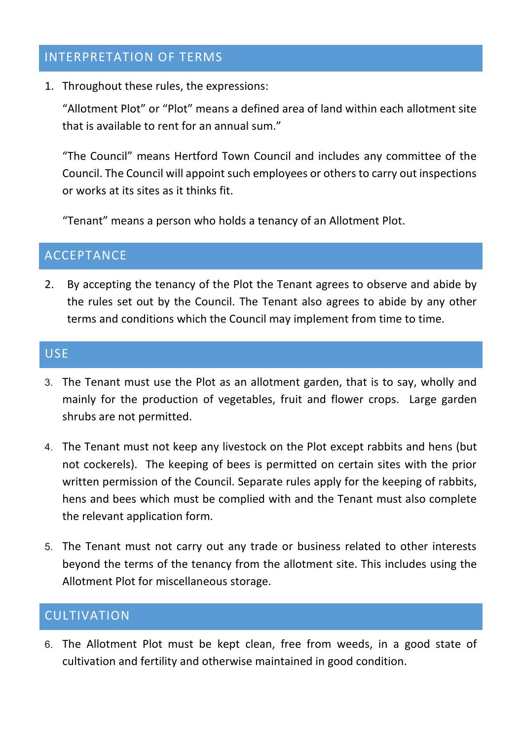#### INTERPRETATION OF TERMS

1. Throughout these rules, the expressions:

"Allotment Plot" or "Plot" means a defined area of land within each allotment site that is available to rent for an annual sum."

"The Council" means Hertford Town Council and includes any committee of the Council. The Council will appoint such employees or others to carry out inspections or works at its sites as it thinks fit.

"Tenant" means a person who holds a tenancy of an Allotment Plot.

# **ACCEPTANCE**

2. By accepting the tenancy of the Plot the Tenant agrees to observe and abide by the rules set out by the Council. The Tenant also agrees to abide by any other terms and conditions which the Council may implement from time to time.

#### **USE**

- 3. The Tenant must use the Plot as an allotment garden, that is to say, wholly and mainly for the production of vegetables, fruit and flower crops. Large garden shrubs are not permitted.
- 4. The Tenant must not keep any livestock on the Plot except rabbits and hens (but not cockerels). The keeping of bees is permitted on certain sites with the prior written permission of the Council. Separate rules apply for the keeping of rabbits, hens and bees which must be complied with and the Tenant must also complete the relevant application form.
- 5. The Tenant must not carry out any trade or business related to other interests beyond the terms of the tenancy from the allotment site. This includes using the Allotment Plot for miscellaneous storage.

#### CULTIVATION

6. The Allotment Plot must be kept clean, free from weeds, in a good state of cultivation and fertility and otherwise maintained in good condition.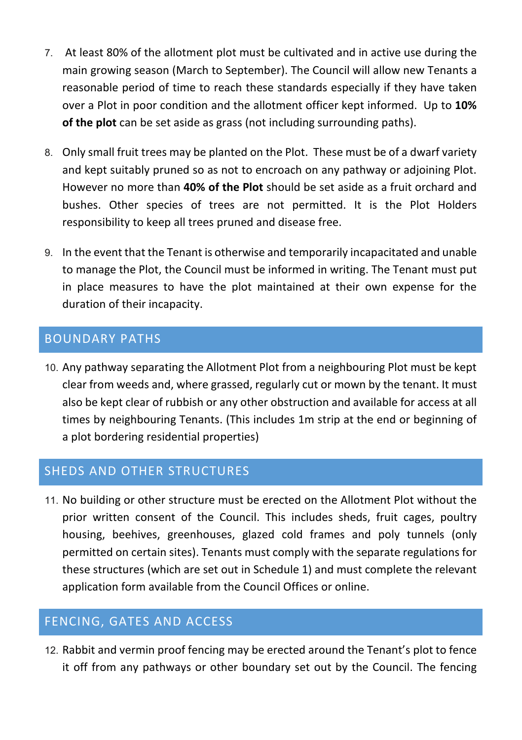- 7. At least 80% of the allotment plot must be cultivated and in active use during the main growing season (March to September). The Council will allow new Tenants a reasonable period of time to reach these standards especially if they have taken over a Plot in poor condition and the allotment officer kept informed. Up to **10% of the plot** can be set aside as grass (not including surrounding paths).
- 8. Only small fruit trees may be planted on the Plot. These must be of a dwarf variety and kept suitably pruned so as not to encroach on any pathway or adjoining Plot. However no more than **40% of the Plot** should be set aside as a fruit orchard and bushes. Other species of trees are not permitted. It is the Plot Holders responsibility to keep all trees pruned and disease free.
- 9. In the event that the Tenant is otherwise and temporarily incapacitated and unable to manage the Plot, the Council must be informed in writing. The Tenant must put in place measures to have the plot maintained at their own expense for the duration of their incapacity.

## BOUNDARY PATHS

10. Any pathway separating the Allotment Plot from a neighbouring Plot must be kept clear from weeds and, where grassed, regularly cut or mown by the tenant. It must also be kept clear of rubbish or any other obstruction and available for access at all times by neighbouring Tenants. (This includes 1m strip at the end or beginning of a plot bordering residential properties)

#### SHEDS AND OTHER STRUCTURES

11. No building or other structure must be erected on the Allotment Plot without the prior written consent of the Council. This includes sheds, fruit cages, poultry housing, beehives, greenhouses, glazed cold frames and poly tunnels (only permitted on certain sites). Tenants must comply with the separate regulations for these structures (which are set out in Schedule 1) and must complete the relevant application form available from the Council Offices or online.

#### FENCING, GATES AND ACCESS

12. Rabbit and vermin proof fencing may be erected around the Tenant's plot to fence it off from any pathways or other boundary set out by the Council. The fencing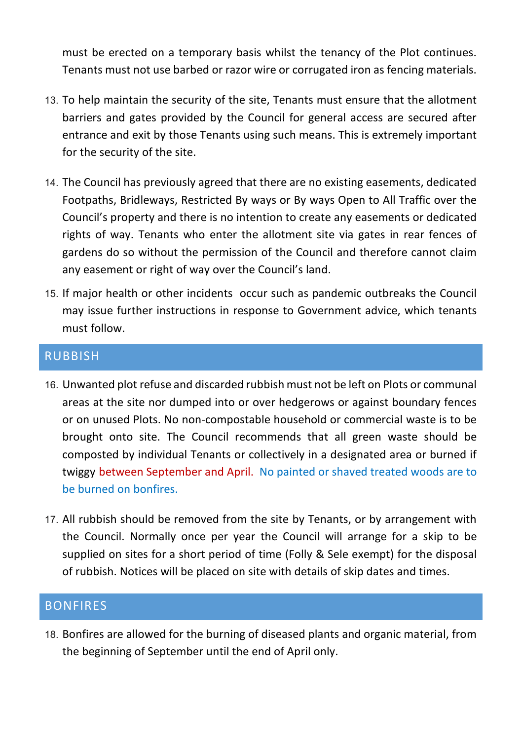must be erected on a temporary basis whilst the tenancy of the Plot continues. Tenants must not use barbed or razor wire or corrugated iron as fencing materials.

- 13. To help maintain the security of the site, Tenants must ensure that the allotment barriers and gates provided by the Council for general access are secured after entrance and exit by those Tenants using such means. This is extremely important for the security of the site.
- 14. The Council has previously agreed that there are no existing easements, dedicated Footpaths, Bridleways, Restricted By ways or By ways Open to All Traffic over the Council's property and there is no intention to create any easements or dedicated rights of way. Tenants who enter the allotment site via gates in rear fences of gardens do so without the permission of the Council and therefore cannot claim any easement or right of way over the Council's land.
- 15. If major health or other incidents occur such as pandemic outbreaks the Council may issue further instructions in response to Government advice, which tenants must follow.

#### RUBBISH

- 16. Unwanted plot refuse and discarded rubbish must not be left on Plots or communal areas at the site nor dumped into or over hedgerows or against boundary fences or on unused Plots. No non-compostable household or commercial waste is to be brought onto site. The Council recommends that all green waste should be composted by individual Tenants or collectively in a designated area or burned if twiggy between September and April. No painted or shaved treated woods are to be burned on bonfires.
- 17. All rubbish should be removed from the site by Tenants, or by arrangement with the Council. Normally once per year the Council will arrange for a skip to be supplied on sites for a short period of time (Folly & Sele exempt) for the disposal of rubbish. Notices will be placed on site with details of skip dates and times.

#### BONFIRES

18. Bonfires are allowed for the burning of diseased plants and organic material, from the beginning of September until the end of April only.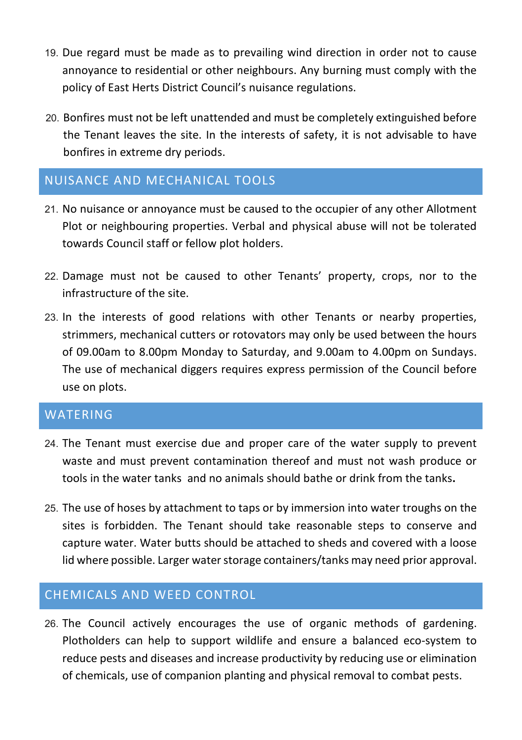- 19. Due regard must be made as to prevailing wind direction in order not to cause annoyance to residential or other neighbours. Any burning must comply with the policy of East Herts District Council's nuisance regulations.
- 20. Bonfires must not be left unattended and must be completely extinguished before the Tenant leaves the site. In the interests of safety, it is not advisable to have bonfires in extreme dry periods.

## NUISANCE AND MECHANICAL TOOLS

- 21. No nuisance or annoyance must be caused to the occupier of any other Allotment Plot or neighbouring properties. Verbal and physical abuse will not be tolerated towards Council staff or fellow plot holders.
- 22. Damage must not be caused to other Tenants' property, crops, nor to the infrastructure of the site.
- 23. In the interests of good relations with other Tenants or nearby properties, strimmers, mechanical cutters or rotovators may only be used between the hours of 09.00am to 8.00pm Monday to Saturday, and 9.00am to 4.00pm on Sundays. The use of mechanical diggers requires express permission of the Council before use on plots.

## WATERING

- 24. The Tenant must exercise due and proper care of the water supply to prevent waste and must prevent contamination thereof and must not wash produce or tools in the water tanks and no animals should bathe or drink from the tanks**.**
- 25. The use of hoses by attachment to taps or by immersion into water troughs on the sites is forbidden. The Tenant should take reasonable steps to conserve and capture water. Water butts should be attached to sheds and covered with a loose lid where possible. Larger water storage containers/tanks may need prior approval.

# CHEMICALS AND WEED CONTROL

26. The Council actively encourages the use of organic methods of gardening. Plotholders can help to support wildlife and ensure a balanced eco-system to reduce pests and diseases and increase productivity by reducing use or elimination of chemicals, use of companion planting and physical removal to combat pests.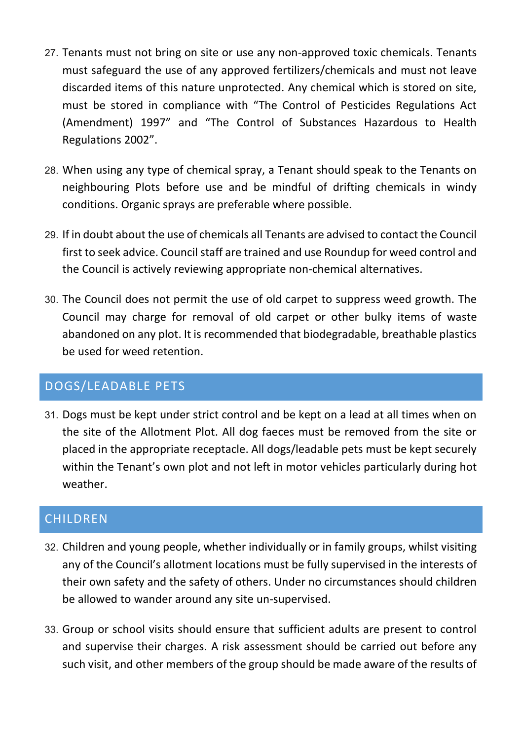- 27. Tenants must not bring on site or use any non-approved toxic chemicals. Tenants must safeguard the use of any approved fertilizers/chemicals and must not leave discarded items of this nature unprotected. Any chemical which is stored on site, must be stored in compliance with "The Control of Pesticides Regulations Act (Amendment) 1997" and "The Control of Substances Hazardous to Health Regulations 2002".
- 28. When using any type of chemical spray, a Tenant should speak to the Tenants on neighbouring Plots before use and be mindful of drifting chemicals in windy conditions. Organic sprays are preferable where possible.
- 29. If in doubt about the use of chemicals all Tenants are advised to contact the Council first to seek advice. Council staff are trained and use Roundup for weed control and the Council is actively reviewing appropriate non-chemical alternatives.
- 30. The Council does not permit the use of old carpet to suppress weed growth. The Council may charge for removal of old carpet or other bulky items of waste abandoned on any plot. It is recommended that biodegradable, breathable plastics be used for weed retention.

## DOGS/LEADABLE PETS

31. Dogs must be kept under strict control and be kept on a lead at all times when on the site of the Allotment Plot. All dog faeces must be removed from the site or placed in the appropriate receptacle. All dogs/leadable pets must be kept securely within the Tenant's own plot and not left in motor vehicles particularly during hot weather.

## **CHILDREN**

- 32. Children and young people, whether individually or in family groups, whilst visiting any of the Council's allotment locations must be fully supervised in the interests of their own safety and the safety of others. Under no circumstances should children be allowed to wander around any site un-supervised.
- 33. Group or school visits should ensure that sufficient adults are present to control and supervise their charges. A risk assessment should be carried out before any such visit, and other members of the group should be made aware of the results of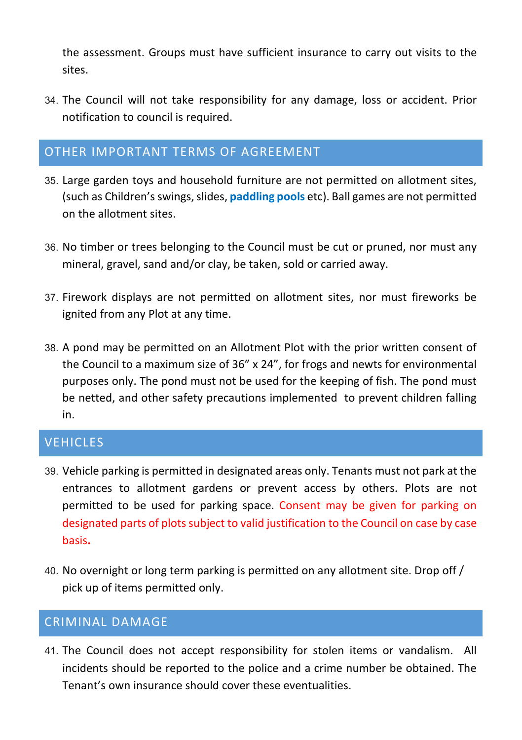the assessment. Groups must have sufficient insurance to carry out visits to the sites.

34. The Council will not take responsibility for any damage, loss or accident. Prior notification to council is required.

#### OTHER IMPORTANT TERMS OF AGREEMENT

- 35. Large garden toys and household furniture are not permitted on allotment sites, (such as Children's swings, slides, **paddling pools** etc). Ball games are not permitted on the allotment sites.
- 36. No timber or trees belonging to the Council must be cut or pruned, nor must any mineral, gravel, sand and/or clay, be taken, sold or carried away.
- 37. Firework displays are not permitted on allotment sites, nor must fireworks be ignited from any Plot at any time.
- 38. A pond may be permitted on an Allotment Plot with the prior written consent of the Council to a maximum size of 36" x 24", for frogs and newts for environmental purposes only. The pond must not be used for the keeping of fish. The pond must be netted, and other safety precautions implemented to prevent children falling in.

## **VEHICLES**

- 39. Vehicle parking is permitted in designated areas only. Tenants must not park at the entrances to allotment gardens or prevent access by others. Plots are not permitted to be used for parking space. Consent may be given for parking on designated parts of plots subject to valid justification to the Council on case by case basis**.**
- 40. No overnight or long term parking is permitted on any allotment site. Drop off / pick up of items permitted only.

## CRIMINAL DAMAGE

41. The Council does not accept responsibility for stolen items or vandalism. All incidents should be reported to the police and a crime number be obtained. The Tenant's own insurance should cover these eventualities.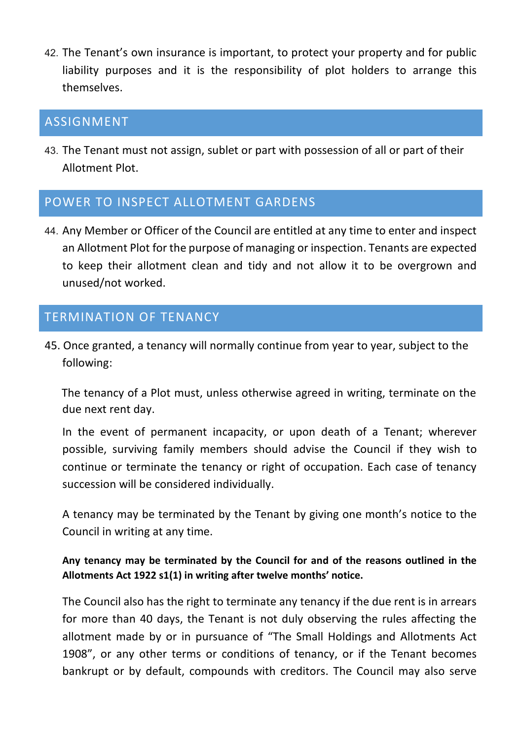42. The Tenant's own insurance is important, to protect your property and for public liability purposes and it is the responsibility of plot holders to arrange this themselves.

#### ASSIGNMENT

43. The Tenant must not assign, sublet or part with possession of all or part of their Allotment Plot.

## POWER TO INSPECT ALLOTMENT GARDENS

44. Any Member or Officer of the Council are entitled at any time to enter and inspect an Allotment Plot for the purpose of managing or inspection. Tenants are expected to keep their allotment clean and tidy and not allow it to be overgrown and unused/not worked.

# TERMINATION OF TENANCY

45. Once granted, a tenancy will normally continue from year to year, subject to the following:

 The tenancy of a Plot must, unless otherwise agreed in writing, terminate on the due next rent day.

 In the event of permanent incapacity, or upon death of a Tenant; wherever possible, surviving family members should advise the Council if they wish to continue or terminate the tenancy or right of occupation. Each case of tenancy succession will be considered individually.

A tenancy may be terminated by the Tenant by giving one month's notice to the Council in writing at any time.

#### **Any tenancy may be terminated by the Council for and of the reasons outlined in the Allotments Act 1922 s1(1) in writing after twelve months' notice.**

The Council also has the right to terminate any tenancy if the due rent is in arrears for more than 40 days, the Tenant is not duly observing the rules affecting the allotment made by or in pursuance of "The Small Holdings and Allotments Act 1908", or any other terms or conditions of tenancy, or if the Tenant becomes bankrupt or by default, compounds with creditors. The Council may also serve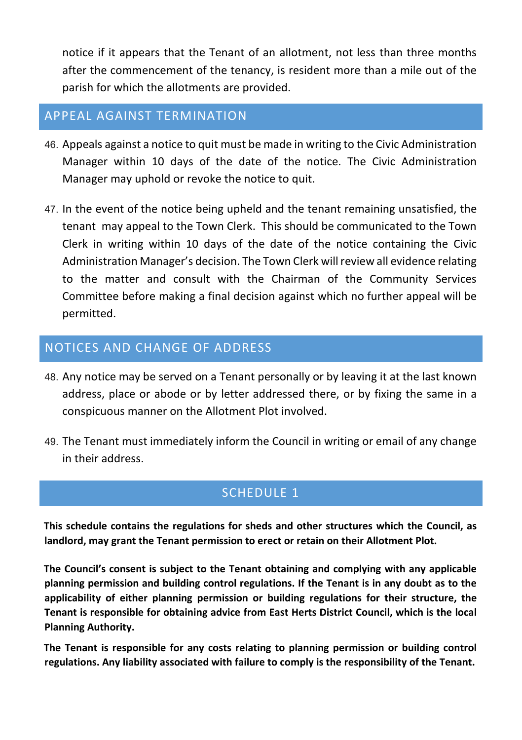notice if it appears that the Tenant of an allotment, not less than three months after the commencement of the tenancy, is resident more than a mile out of the parish for which the allotments are provided.

## APPEAL AGAINST TERMINATION

- 46. Appeals against a notice to quit must be made in writing to the Civic Administration Manager within 10 days of the date of the notice. The Civic Administration Manager may uphold or revoke the notice to quit.
- 47. In the event of the notice being upheld and the tenant remaining unsatisfied, the tenant may appeal to the Town Clerk. This should be communicated to the Town Clerk in writing within 10 days of the date of the notice containing the Civic Administration Manager's decision. The Town Clerk will review all evidence relating to the matter and consult with the Chairman of the Community Services Committee before making a final decision against which no further appeal will be permitted.

## NOTICES AND CHANGE OF ADDRESS

- 48. Any notice may be served on a Tenant personally or by leaving it at the last known address, place or abode or by letter addressed there, or by fixing the same in a conspicuous manner on the Allotment Plot involved.
- 49. The Tenant must immediately inform the Council in writing or email of any change in their address.

## SCHEDULE 1

**This schedule contains the regulations for sheds and other structures which the Council, as landlord, may grant the Tenant permission to erect or retain on their Allotment Plot.** 

**The Council's consent is subject to the Tenant obtaining and complying with any applicable planning permission and building control regulations. If the Tenant is in any doubt as to the applicability of either planning permission or building regulations for their structure, the Tenant is responsible for obtaining advice from East Herts District Council, which is the local Planning Authority.** 

**The Tenant is responsible for any costs relating to planning permission or building control regulations. Any liability associated with failure to comply is the responsibility of the Tenant.**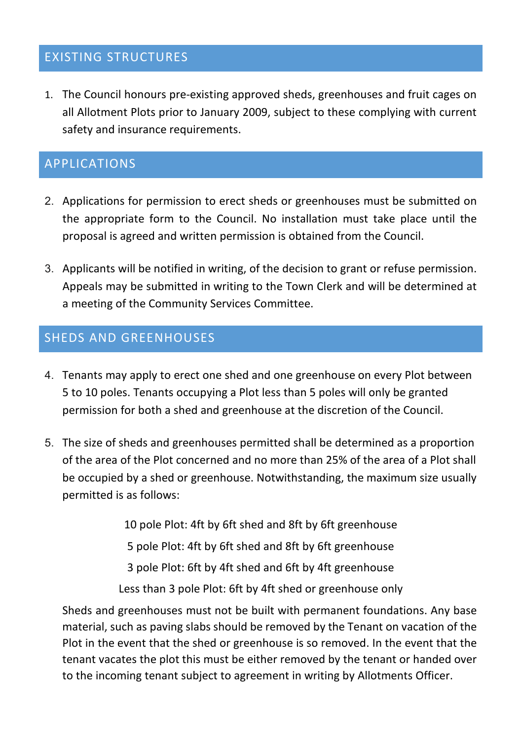## EXISTING STRUCTURES

1. The Council honours pre-existing approved sheds, greenhouses and fruit cages on all Allotment Plots prior to January 2009, subject to these complying with current safety and insurance requirements.

#### APPLICATIONS

- 2. Applications for permission to erect sheds or greenhouses must be submitted on the appropriate form to the Council. No installation must take place until the proposal is agreed and written permission is obtained from the Council.
- 3. Applicants will be notified in writing, of the decision to grant or refuse permission. Appeals may be submitted in writing to the Town Clerk and will be determined at a meeting of the Community Services Committee.

#### SHEDS AND GREENHOUSES

- 4. Tenants may apply to erect one shed and one greenhouse on every Plot between 5 to 10 poles. Tenants occupying a Plot less than 5 poles will only be granted permission for both a shed and greenhouse at the discretion of the Council.
- 5. The size of sheds and greenhouses permitted shall be determined as a proportion of the area of the Plot concerned and no more than 25% of the area of a Plot shall be occupied by a shed or greenhouse. Notwithstanding, the maximum size usually permitted is as follows:

10 pole Plot: 4ft by 6ft shed and 8ft by 6ft greenhouse 5 pole Plot: 4ft by 6ft shed and 8ft by 6ft greenhouse 3 pole Plot: 6ft by 4ft shed and 6ft by 4ft greenhouse Less than 3 pole Plot: 6ft by 4ft shed or greenhouse only

Sheds and greenhouses must not be built with permanent foundations. Any base material, such as paving slabs should be removed by the Tenant on vacation of the Plot in the event that the shed or greenhouse is so removed. In the event that the tenant vacates the plot this must be either removed by the tenant or handed over to the incoming tenant subject to agreement in writing by Allotments Officer.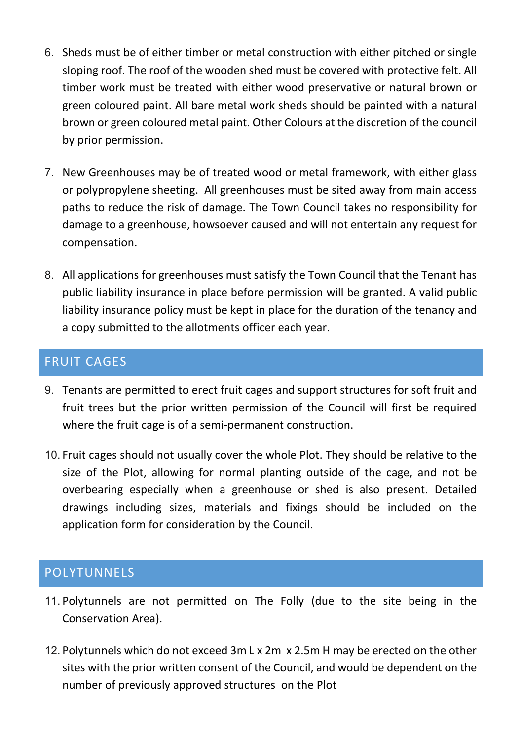- 6. Sheds must be of either timber or metal construction with either pitched or single sloping roof. The roof of the wooden shed must be covered with protective felt. All timber work must be treated with either wood preservative or natural brown or green coloured paint. All bare metal work sheds should be painted with a natural brown or green coloured metal paint. Other Colours at the discretion of the council by prior permission.
- 7. New Greenhouses may be of treated wood or metal framework, with either glass or polypropylene sheeting. All greenhouses must be sited away from main access paths to reduce the risk of damage. The Town Council takes no responsibility for damage to a greenhouse, howsoever caused and will not entertain any request for compensation.
- 8. All applications for greenhouses must satisfy the Town Council that the Tenant has public liability insurance in place before permission will be granted. A valid public liability insurance policy must be kept in place for the duration of the tenancy and a copy submitted to the allotments officer each year.

## FRUIT CAGES

- 9. Tenants are permitted to erect fruit cages and support structures for soft fruit and fruit trees but the prior written permission of the Council will first be required where the fruit cage is of a semi-permanent construction.
- 10. Fruit cages should not usually cover the whole Plot. They should be relative to the size of the Plot, allowing for normal planting outside of the cage, and not be overbearing especially when a greenhouse or shed is also present. Detailed drawings including sizes, materials and fixings should be included on the application form for consideration by the Council.

# POLYTUNNELS

- 11. Polytunnels are not permitted on The Folly (due to the site being in the Conservation Area).
- 12. Polytunnels which do not exceed 3m L x 2m x 2.5m H may be erected on the other sites with the prior written consent of the Council, and would be dependent on the number of previously approved structures on the Plot